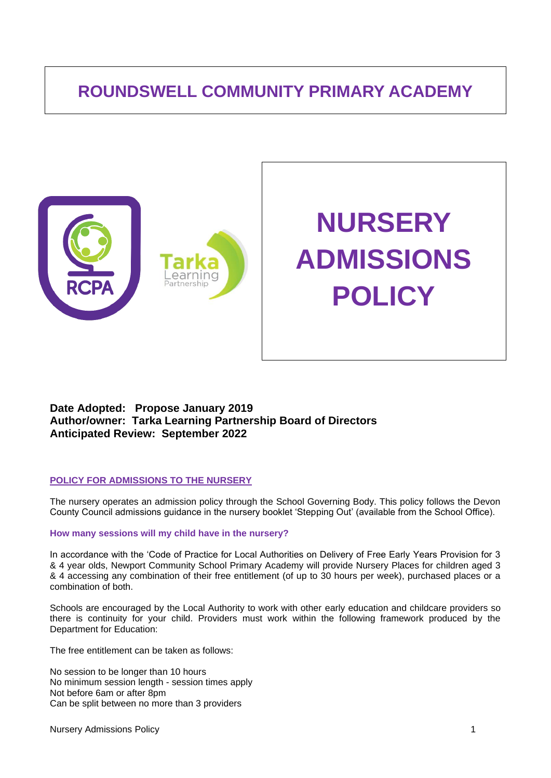# **ROUNDSWELL COMMUNITY PRIMARY ACADEMY**



# **Date Adopted: Propose January 2019 Author/owner: Tarka Learning Partnership Board of Directors Anticipated Review: September 2022**

#### **POLICY FOR ADMISSIONS TO THE NURSERY**

The nursery operates an admission policy through the School Governing Body. This policy follows the Devon County Council admissions guidance in the nursery booklet 'Stepping Out' (available from the School Office).

#### **How many sessions will my child have in the nursery?**

In accordance with the 'Code of Practice for Local Authorities on Delivery of Free Early Years Provision for 3 & 4 year olds, Newport Community School Primary Academy will provide Nursery Places for children aged 3 & 4 accessing any combination of their free entitlement (of up to 30 hours per week), purchased places or a combination of both.

Schools are encouraged by the Local Authority to work with other early education and childcare providers so there is continuity for your child. Providers must work within the following framework produced by the Department for Education:

The free entitlement can be taken as follows:

No session to be longer than 10 hours No minimum session length - session times apply Not before 6am or after 8pm Can be split between no more than 3 providers

Nursery Admissions Policy 100 and 200 and 200 and 200 and 200 and 200 and 200 and 200 and 200 and 200 and 200  $\pm$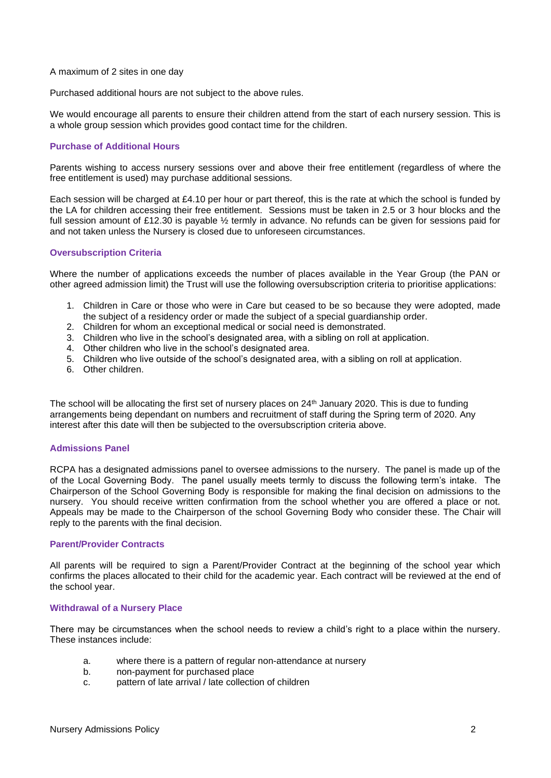A maximum of 2 sites in one day

Purchased additional hours are not subject to the above rules.

We would encourage all parents to ensure their children attend from the start of each nursery session. This is a whole group session which provides good contact time for the children.

# **Purchase of Additional Hours**

Parents wishing to access nursery sessions over and above their free entitlement (regardless of where the free entitlement is used) may purchase additional sessions*.*

Each session will be charged at £4.10 per hour or part thereof, this is the rate at which the school is funded by the LA for children accessing their free entitlement. Sessions must be taken in 2.5 or 3 hour blocks and the full session amount of £12.30 is payable ½ termly in advance. No refunds can be given for sessions paid for and not taken unless the Nursery is closed due to unforeseen circumstances.

# **Oversubscription Criteria**

Where the number of applications exceeds the number of places available in the Year Group (the PAN or other agreed admission limit) the Trust will use the following oversubscription criteria to prioritise applications:

- 1. Children in Care or those who were in Care but ceased to be so because they were adopted, made the subject of a residency order or made the subject of a special guardianship order.
- 2. Children for whom an exceptional medical or social need is demonstrated.
- 3. Children who live in the school's designated area, with a sibling on roll at application.
- 4. Other children who live in the school's designated area.
- 5. Children who live outside of the school's designated area, with a sibling on roll at application.
- 6. Other children.

The school will be allocating the first set of nursery places on 24<sup>th</sup> January 2020. This is due to funding arrangements being dependant on numbers and recruitment of staff during the Spring term of 2020. Any interest after this date will then be subjected to the oversubscription criteria above.

#### **Admissions Panel**

RCPA has a designated admissions panel to oversee admissions to the nursery. The panel is made up of the of the Local Governing Body. The panel usually meets termly to discuss the following term's intake. The Chairperson of the School Governing Body is responsible for making the final decision on admissions to the nursery. You should receive written confirmation from the school whether you are offered a place or not. Appeals may be made to the Chairperson of the school Governing Body who consider these. The Chair will reply to the parents with the final decision.

# **Parent/Provider Contracts**

All parents will be required to sign a Parent/Provider Contract at the beginning of the school year which confirms the places allocated to their child for the academic year. Each contract will be reviewed at the end of the school year.

#### **Withdrawal of a Nursery Place**

There may be circumstances when the school needs to review a child's right to a place within the nursery. These instances include:

- a. where there is a pattern of regular non-attendance at nursery
- b. non-payment for purchased place
- c. pattern of late arrival / late collection of children